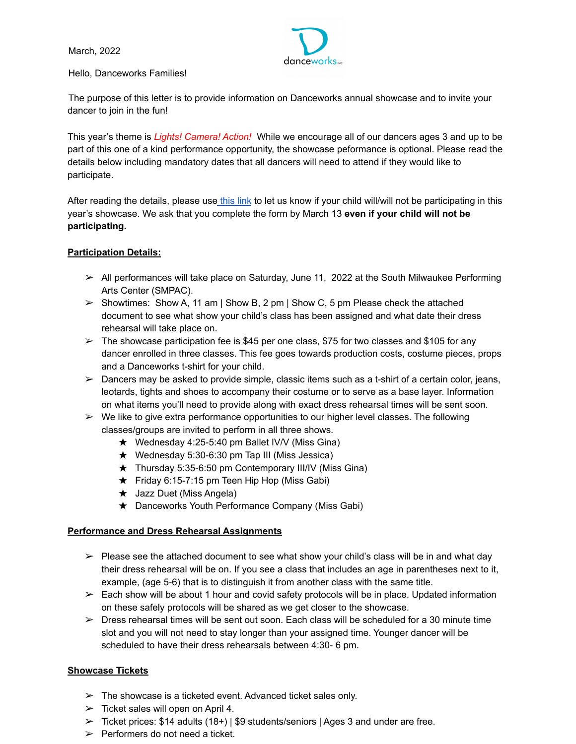March, 2022



## Hello, Danceworks Families!

The purpose of this letter is to provide information on Danceworks annual showcase and to invite your dancer to join in the fun!

This year's theme is *Lights! Camera! Action!* While we encourage all of our dancers ages 3 and up to be part of this one of a kind performance opportunity, the showcase peformance is optional. Please read the details below including mandatory dates that all dancers will need to attend if they would like to participate.

After reading the details, please use [this](https://www.surveymonkey.com/r/2RWDMFK) link to let us know if your child will/will not be participating in this year's showcase. We ask that you complete the form by March 13 **even if your child will not be participating.**

# **Participation Details:**

- $\triangleright$  All performances will take place on Saturday, June 11, 2022 at the South Milwaukee Performing Arts Center (SMPAC).
- $\triangleright$  Showtimes: Show A, 11 am | Show B, 2 pm | Show C, 5 pm Please check the attached document to see what show your child's class has been assigned and what date their dress rehearsal will take place on.
- $\geq$  The showcase participation fee is \$45 per one class, \$75 for two classes and \$105 for any dancer enrolled in three classes. This fee goes towards production costs, costume pieces, props and a Danceworks t-shirt for your child.
- $\triangleright$  Dancers may be asked to provide simple, classic items such as a t-shirt of a certain color, jeans, leotards, tights and shoes to accompany their costume or to serve as a base layer. Information on what items you'll need to provide along with exact dress rehearsal times will be sent soon.
- $\triangleright$  We like to give extra performance opportunities to our higher level classes. The following classes/groups are invited to perform in all three shows.
	- $\star$  Wednesday 4:25-5:40 pm Ballet IV/V (Miss Gina)
	- $\star$  Wednesday 5:30-6:30 pm Tap III (Miss Jessica)
	- $\star$  Thursday 5:35-6:50 pm Contemporary III/IV (Miss Gina)
	- ★ Friday 6:15-7:15 pm Teen Hip Hop (Miss Gabi)
	- ★ Jazz Duet (Miss Angela)
	- ★ Danceworks Youth Performance Company (Miss Gabi)

# **Performance and Dress Rehearsal Assignments**

- $\triangleright$  Please see the attached document to see what show your child's class will be in and what day their dress rehearsal will be on. If you see a class that includes an age in parentheses next to it, example, (age 5-6) that is to distinguish it from another class with the same title.
- $\geq$  Each show will be about 1 hour and covid safety protocols will be in place. Updated information on these safely protocols will be shared as we get closer to the showcase.
- $\triangleright$  Dress rehearsal times will be sent out soon. Each class will be scheduled for a 30 minute time slot and you will not need to stay longer than your assigned time. Younger dancer will be scheduled to have their dress rehearsals between 4:30- 6 pm.

# **Showcase Tickets**

- $\triangleright$  The showcase is a ticketed event. Advanced ticket sales only.
- $\triangleright$  Ticket sales will open on April 4.
- $\geq$  Ticket prices: \$14 adults (18+) | \$9 students/seniors | Ages 3 and under are free.
- $\triangleright$  Performers do not need a ticket.